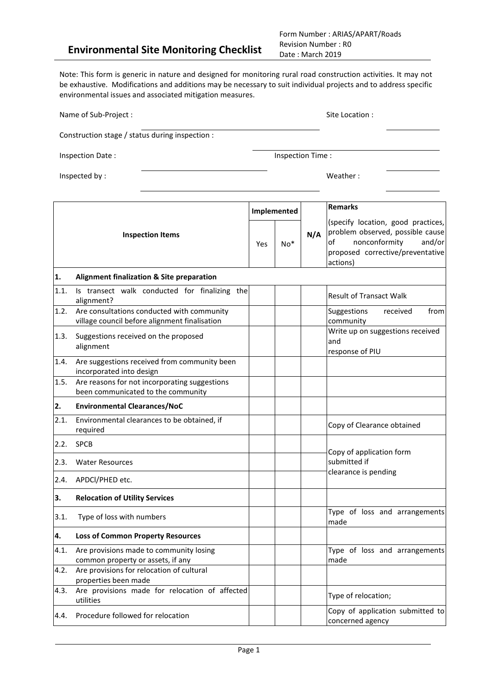Form Number : ARIAS/APART/Roads Revision Number : R0 Date : March 2019

Note: This form is generic in nature and designed for monitoring rural road construction activities. It may not be exhaustive. Modifications and additions may be necessary to suit individual projects and to address specific environmental issues and associated mitigation measures.

| Name of Sub-Project :   |                                                                                             |     | Site Location :  |     |                                                                                                                                                         |
|-------------------------|---------------------------------------------------------------------------------------------|-----|------------------|-----|---------------------------------------------------------------------------------------------------------------------------------------------------------|
|                         | Construction stage / status during inspection :                                             |     |                  |     |                                                                                                                                                         |
|                         | Inspection Date:                                                                            |     | Inspection Time: |     |                                                                                                                                                         |
|                         | Inspected by:                                                                               |     |                  |     | Weather:                                                                                                                                                |
|                         |                                                                                             |     | Implemented      |     | <b>Remarks</b>                                                                                                                                          |
| <b>Inspection Items</b> |                                                                                             | Yes | $No*$            | N/A | (specify location, good practices,<br>problem observed, possible cause<br>nonconformity<br>and/or<br>of<br>proposed corrective/preventative<br>actions) |
| 1.                      | <b>Alignment finalization &amp; Site preparation</b>                                        |     |                  |     |                                                                                                                                                         |
| 1.1.                    | Is transect walk conducted for finalizing the<br>alignment?                                 |     |                  |     | <b>Result of Transact Walk</b>                                                                                                                          |
| 1.2.                    | Are consultations conducted with community<br>village council before alignment finalisation |     |                  |     | Suggestions<br>from<br>received<br>community                                                                                                            |
| 1.3.                    | Suggestions received on the proposed<br>alignment                                           |     |                  |     | Write up on suggestions received<br>and<br>response of PIU                                                                                              |
| 1.4.                    | Are suggestions received from community been<br>incorporated into design                    |     |                  |     |                                                                                                                                                         |
| 1.5.                    | Are reasons for not incorporating suggestions<br>been communicated to the community         |     |                  |     |                                                                                                                                                         |
| 2.                      | <b>Environmental Clearances/NoC</b>                                                         |     |                  |     |                                                                                                                                                         |
| 2.1.                    | Environmental clearances to be obtained, if<br>required                                     |     |                  |     | Copy of Clearance obtained                                                                                                                              |
| 2.2.                    | <b>SPCB</b>                                                                                 |     |                  |     |                                                                                                                                                         |
| 2.3.                    | <b>Water Resources</b>                                                                      |     |                  |     | Copy of application form<br>submitted if                                                                                                                |
| 2.4.                    | APDCI/PHED etc.                                                                             |     |                  |     | clearance is pending                                                                                                                                    |
| 3.                      | <b>Relocation of Utility Services</b>                                                       |     |                  |     |                                                                                                                                                         |
| 3.1.                    | Type of loss with numbers                                                                   |     |                  |     | Type of loss and arrangements<br>made                                                                                                                   |
| 4.                      | <b>Loss of Common Property Resources</b>                                                    |     |                  |     |                                                                                                                                                         |
| 4.1.                    | Are provisions made to community losing<br>common property or assets, if any                |     |                  |     | Type of loss and arrangements<br>made                                                                                                                   |
| 4.2.                    | Are provisions for relocation of cultural<br>properties been made                           |     |                  |     |                                                                                                                                                         |
| 4.3.                    | Are provisions made for relocation of affected<br>utilities                                 |     |                  |     | Type of relocation;                                                                                                                                     |
| 4.4.                    | Procedure followed for relocation                                                           |     |                  |     | Copy of application submitted to<br>concerned agency                                                                                                    |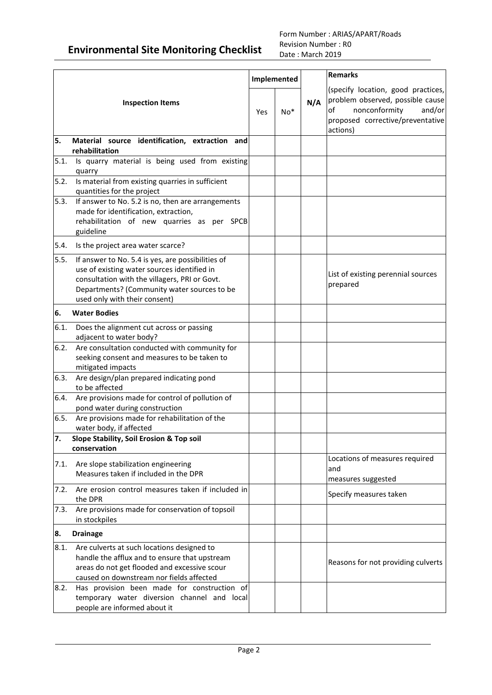|                         |                                                                                                                                                                                                                                   |     |             |     | <b>Remarks</b>                                                                                                                                          |  |
|-------------------------|-----------------------------------------------------------------------------------------------------------------------------------------------------------------------------------------------------------------------------------|-----|-------------|-----|---------------------------------------------------------------------------------------------------------------------------------------------------------|--|
|                         |                                                                                                                                                                                                                                   |     | Implemented |     |                                                                                                                                                         |  |
| <b>Inspection Items</b> |                                                                                                                                                                                                                                   | Yes | $No*$       | N/A | (specify location, good practices,<br>problem observed, possible cause<br>nonconformity<br>and/or<br>of<br>proposed corrective/preventative<br>actions) |  |
| 5.                      | Material source identification, extraction and<br>rehabilitation                                                                                                                                                                  |     |             |     |                                                                                                                                                         |  |
| 5.1.                    | Is quarry material is being used from existing<br>quarry                                                                                                                                                                          |     |             |     |                                                                                                                                                         |  |
| 5.2.                    | Is material from existing quarries in sufficient<br>quantities for the project                                                                                                                                                    |     |             |     |                                                                                                                                                         |  |
| 5.3.                    | If answer to No. 5.2 is no, then are arrangements<br>made for identification, extraction,<br>rehabilitation of new quarries as per SPCB<br>guideline                                                                              |     |             |     |                                                                                                                                                         |  |
| 5.4.                    | Is the project area water scarce?                                                                                                                                                                                                 |     |             |     |                                                                                                                                                         |  |
| 5.5.                    | If answer to No. 5.4 is yes, are possibilities of<br>use of existing water sources identified in<br>consultation with the villagers, PRI or Govt.<br>Departments? (Community water sources to be<br>used only with their consent) |     |             |     | List of existing perennial sources<br>prepared                                                                                                          |  |
| 6.                      | <b>Water Bodies</b>                                                                                                                                                                                                               |     |             |     |                                                                                                                                                         |  |
| 6.1.                    | Does the alignment cut across or passing<br>adjacent to water body?                                                                                                                                                               |     |             |     |                                                                                                                                                         |  |
| 6.2.                    | Are consultation conducted with community for<br>seeking consent and measures to be taken to<br>mitigated impacts                                                                                                                 |     |             |     |                                                                                                                                                         |  |
| 6.3.                    | Are design/plan prepared indicating pond<br>to be affected                                                                                                                                                                        |     |             |     |                                                                                                                                                         |  |
| 6.4.                    | Are provisions made for control of pollution of<br>pond water during construction                                                                                                                                                 |     |             |     |                                                                                                                                                         |  |
| 6.5.                    | Are provisions made for rehabilitation of the<br>water body, if affected                                                                                                                                                          |     |             |     |                                                                                                                                                         |  |
| 7.                      | Slope Stability, Soil Erosion & Top soil<br>conservation                                                                                                                                                                          |     |             |     |                                                                                                                                                         |  |
| 7.1.                    | Are slope stabilization engineering<br>Measures taken if included in the DPR                                                                                                                                                      |     |             |     | Locations of measures required<br>and<br>measures suggested                                                                                             |  |
| 7.2.                    | Are erosion control measures taken if included in<br>the DPR                                                                                                                                                                      |     |             |     | Specify measures taken                                                                                                                                  |  |
| 7.3.                    | Are provisions made for conservation of topsoil<br>in stockpiles                                                                                                                                                                  |     |             |     |                                                                                                                                                         |  |
| 8.                      | <b>Drainage</b>                                                                                                                                                                                                                   |     |             |     |                                                                                                                                                         |  |
| 8.1.                    | Are culverts at such locations designed to<br>handle the afflux and to ensure that upstream<br>areas do not get flooded and excessive scour<br>caused on downstream nor fields affected                                           |     |             |     | Reasons for not providing culverts                                                                                                                      |  |
| 8.2.                    | Has provision been made for construction of<br>temporary water diversion channel and local<br>people are informed about it                                                                                                        |     |             |     |                                                                                                                                                         |  |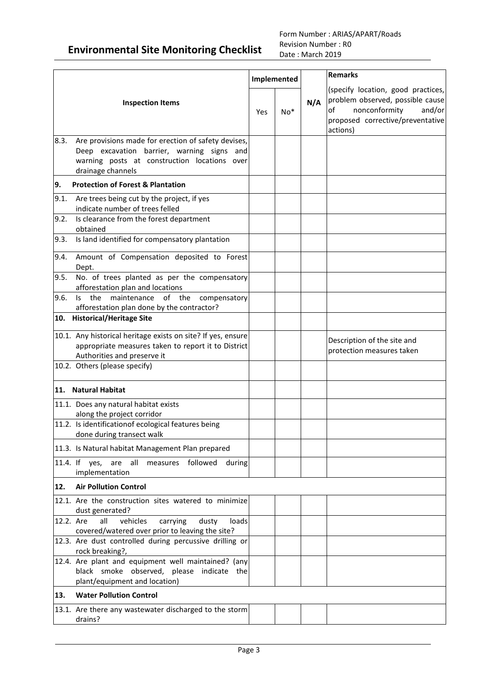|           |                                                                                                                                                                                     |     | Implemented |     | <b>Remarks</b>                                                                                                                                          |
|-----------|-------------------------------------------------------------------------------------------------------------------------------------------------------------------------------------|-----|-------------|-----|---------------------------------------------------------------------------------------------------------------------------------------------------------|
|           | <b>Inspection Items</b>                                                                                                                                                             | Yes | $No*$       | N/A | (specify location, good practices,<br>problem observed, possible cause<br>nonconformity<br>and/or<br>of<br>proposed corrective/preventative<br>actions) |
| 8.3.      | Are provisions made for erection of safety devises,<br>Deep excavation barrier, warning signs and<br>warning posts at construction locations over<br>drainage channels              |     |             |     |                                                                                                                                                         |
| 9.        | <b>Protection of Forest &amp; Plantation</b>                                                                                                                                        |     |             |     |                                                                                                                                                         |
| 9.1.      | Are trees being cut by the project, if yes<br>indicate number of trees felled                                                                                                       |     |             |     |                                                                                                                                                         |
| 9.2.      | Is clearance from the forest department<br>obtained                                                                                                                                 |     |             |     |                                                                                                                                                         |
| 9.3.      | Is land identified for compensatory plantation                                                                                                                                      |     |             |     |                                                                                                                                                         |
| 9.4.      | Amount of Compensation deposited to Forest<br>Dept.                                                                                                                                 |     |             |     |                                                                                                                                                         |
| 9.5.      | No. of trees planted as per the compensatory<br>afforestation plan and locations                                                                                                    |     |             |     |                                                                                                                                                         |
| 9.6.      | maintenance<br>of the<br>$\mathsf{ls}$<br>the<br>compensatory<br>afforestation plan done by the contractor?                                                                         |     |             |     |                                                                                                                                                         |
| 10.       | <b>Historical/Heritage Site</b>                                                                                                                                                     |     |             |     |                                                                                                                                                         |
|           | 10.1. Any historical heritage exists on site? If yes, ensure<br>appropriate measures taken to report it to District<br>Authorities and preserve it<br>10.2. Others (please specify) |     |             |     | Description of the site and<br>protection measures taken                                                                                                |
|           |                                                                                                                                                                                     |     |             |     |                                                                                                                                                         |
|           | 11. Natural Habitat                                                                                                                                                                 |     |             |     |                                                                                                                                                         |
|           | 11.1. Does any natural habitat exists<br>along the project corridor                                                                                                                 |     |             |     |                                                                                                                                                         |
|           | 11.2. Is identificationof ecological features being<br>done during transect walk                                                                                                    |     |             |     |                                                                                                                                                         |
|           | 11.3. Is Natural habitat Management Plan prepared                                                                                                                                   |     |             |     |                                                                                                                                                         |
|           | 11.4. If yes, are all<br>measures followed<br>during<br>implementation                                                                                                              |     |             |     |                                                                                                                                                         |
| 12.       | <b>Air Pollution Control</b>                                                                                                                                                        |     |             |     |                                                                                                                                                         |
|           | 12.1. Are the construction sites watered to minimize<br>dust generated?                                                                                                             |     |             |     |                                                                                                                                                         |
| 12.2. Are | vehicles<br>carrying<br>all<br>dusty<br>loads<br>covered/watered over prior to leaving the site?                                                                                    |     |             |     |                                                                                                                                                         |
|           | 12.3. Are dust controlled during percussive drilling or<br>rock breaking?,                                                                                                          |     |             |     |                                                                                                                                                         |
|           | 12.4. Are plant and equipment well maintained? (any<br>black smoke observed, please indicate the<br>plant/equipment and location)                                                   |     |             |     |                                                                                                                                                         |
| 13.       | <b>Water Pollution Control</b>                                                                                                                                                      |     |             |     |                                                                                                                                                         |
|           | 13.1. Are there any wastewater discharged to the storm<br>drains?                                                                                                                   |     |             |     |                                                                                                                                                         |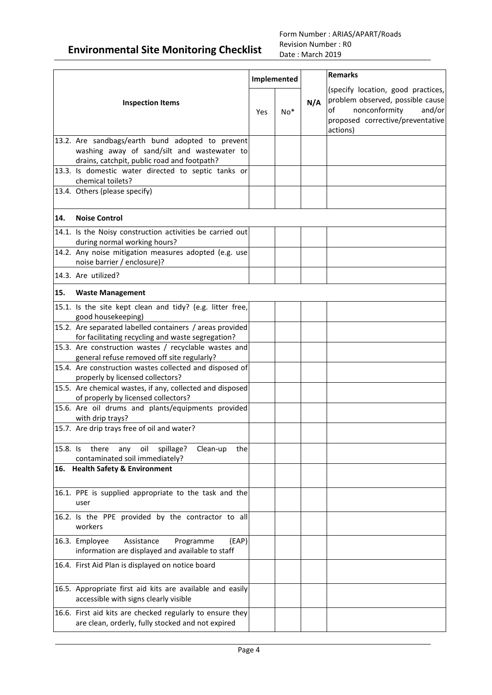|          |                                                                                                                                                |     | Implemented |     | <b>Remarks</b>                                                                                                                                          |
|----------|------------------------------------------------------------------------------------------------------------------------------------------------|-----|-------------|-----|---------------------------------------------------------------------------------------------------------------------------------------------------------|
|          | <b>Inspection Items</b>                                                                                                                        | Yes | $No*$       | N/A | (specify location, good practices,<br>problem observed, possible cause<br>nonconformity<br>and/or<br>of<br>proposed corrective/preventative<br>actions) |
|          | 13.2. Are sandbags/earth bund adopted to prevent<br>washing away of sand/silt and wastewater to<br>drains, catchpit, public road and footpath? |     |             |     |                                                                                                                                                         |
|          | 13.3. Is domestic water directed to septic tanks or<br>chemical toilets?                                                                       |     |             |     |                                                                                                                                                         |
|          | 13.4. Others (please specify)                                                                                                                  |     |             |     |                                                                                                                                                         |
| 14.      | <b>Noise Control</b>                                                                                                                           |     |             |     |                                                                                                                                                         |
|          | 14.1. Is the Noisy construction activities be carried out<br>during normal working hours?                                                      |     |             |     |                                                                                                                                                         |
|          | 14.2. Any noise mitigation measures adopted (e.g. use<br>noise barrier / enclosure)?                                                           |     |             |     |                                                                                                                                                         |
|          | 14.3. Are utilized?                                                                                                                            |     |             |     |                                                                                                                                                         |
| 15.      | <b>Waste Management</b>                                                                                                                        |     |             |     |                                                                                                                                                         |
|          | 15.1. Is the site kept clean and tidy? (e.g. litter free,<br>good housekeeping)                                                                |     |             |     |                                                                                                                                                         |
|          | 15.2. Are separated labelled containers / areas provided<br>for facilitating recycling and waste segregation?                                  |     |             |     |                                                                                                                                                         |
|          | 15.3. Are construction wastes / recyclable wastes and<br>general refuse removed off site regularly?                                            |     |             |     |                                                                                                                                                         |
|          | 15.4. Are construction wastes collected and disposed of<br>properly by licensed collectors?                                                    |     |             |     |                                                                                                                                                         |
|          | 15.5. Are chemical wastes, if any, collected and disposed<br>of properly by licensed collectors?                                               |     |             |     |                                                                                                                                                         |
|          | 15.6. Are oil drums and plants/equipments provided<br>with drip trays?                                                                         |     |             |     |                                                                                                                                                         |
|          | 15.7. Are drip trays free of oil and water?                                                                                                    |     |             |     |                                                                                                                                                         |
| 15.8. Is | there<br>oil<br>spillage?<br>any<br>Clean-up<br>the<br>contaminated soil immediately?                                                          |     |             |     |                                                                                                                                                         |
|          | 16. Health Safety & Environment                                                                                                                |     |             |     |                                                                                                                                                         |
|          | 16.1. PPE is supplied appropriate to the task and the<br>user                                                                                  |     |             |     |                                                                                                                                                         |
|          | 16.2. Is the PPE provided by the contractor to all<br>workers                                                                                  |     |             |     |                                                                                                                                                         |
|          | (EAP)<br>16.3. Employee<br>Assistance<br>Programme<br>information are displayed and available to staff                                         |     |             |     |                                                                                                                                                         |
|          | 16.4. First Aid Plan is displayed on notice board                                                                                              |     |             |     |                                                                                                                                                         |
|          | 16.5. Appropriate first aid kits are available and easily<br>accessible with signs clearly visible                                             |     |             |     |                                                                                                                                                         |
|          | 16.6. First aid kits are checked regularly to ensure they<br>are clean, orderly, fully stocked and not expired                                 |     |             |     |                                                                                                                                                         |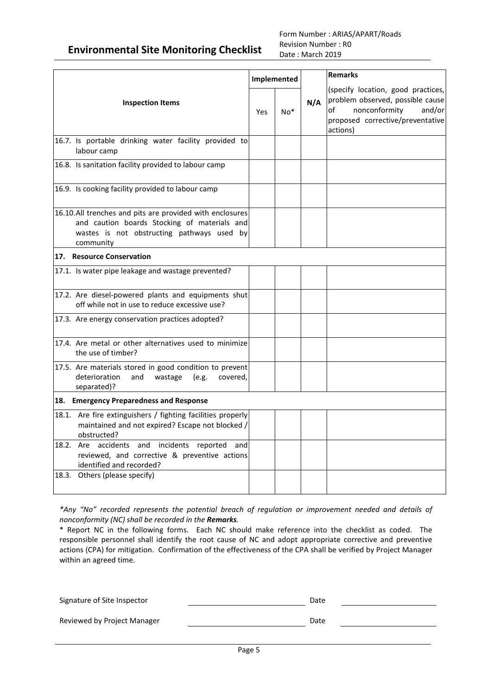#### Form Number : ARIAS/APART/Roads Revision Number : R0 Date : March 2019

|                                                                                                                                                                     |     | Implemented |     | <b>Remarks</b>                                                                                                                                          |  |
|---------------------------------------------------------------------------------------------------------------------------------------------------------------------|-----|-------------|-----|---------------------------------------------------------------------------------------------------------------------------------------------------------|--|
| <b>Inspection Items</b>                                                                                                                                             | Yes | $No*$       | N/A | (specify location, good practices,<br>problem observed, possible cause<br>of<br>nonconformity<br>and/or<br>proposed corrective/preventative<br>actions) |  |
| 16.7. Is portable drinking water facility provided to<br>labour camp                                                                                                |     |             |     |                                                                                                                                                         |  |
| 16.8. Is sanitation facility provided to labour camp                                                                                                                |     |             |     |                                                                                                                                                         |  |
| 16.9. Is cooking facility provided to labour camp                                                                                                                   |     |             |     |                                                                                                                                                         |  |
| 16.10.All trenches and pits are provided with enclosures<br>and caution boards Stocking of materials and<br>wastes is not obstructing pathways used by<br>community |     |             |     |                                                                                                                                                         |  |
| 17. Resource Conservation                                                                                                                                           |     |             |     |                                                                                                                                                         |  |
| 17.1. Is water pipe leakage and wastage prevented?                                                                                                                  |     |             |     |                                                                                                                                                         |  |
| 17.2. Are diesel-powered plants and equipments shut<br>off while not in use to reduce excessive use?                                                                |     |             |     |                                                                                                                                                         |  |
| 17.3. Are energy conservation practices adopted?                                                                                                                    |     |             |     |                                                                                                                                                         |  |
| 17.4. Are metal or other alternatives used to minimize<br>the use of timber?                                                                                        |     |             |     |                                                                                                                                                         |  |
| 17.5. Are materials stored in good condition to prevent<br>deterioration<br>and<br>wastage<br>(e.g.<br>covered,<br>separated)?                                      |     |             |     |                                                                                                                                                         |  |
| 18. Emergency Preparedness and Response                                                                                                                             |     |             |     |                                                                                                                                                         |  |
| Are fire extinguishers / fighting facilities properly<br>18.1.<br>maintained and not expired? Escape not blocked /<br>obstructed?                                   |     |             |     |                                                                                                                                                         |  |
| Are accidents and incidents<br>18.2.<br>reported<br>and<br>reviewed, and corrective & preventive actions<br>identified and recorded?                                |     |             |     |                                                                                                                                                         |  |
| 18.3. Others (please specify)                                                                                                                                       |     |             |     |                                                                                                                                                         |  |

*\*Any "No" recorded represents the potential breach of regulation or improvement needed and details of nonconformity (NC) shall be recorded in the Remarks.*

\* Report NC in the following forms. Each NC should make reference into the checklist as coded. The responsible personnel shall identify the root cause of NC and adopt appropriate corrective and preventive actions (CPA) for mitigation. Confirmation of the effectiveness of the CPA shall be verified by Project Manager within an agreed time.

| Signature of Site Inspector | Date |  |
|-----------------------------|------|--|
| Reviewed by Project Manager | Date |  |